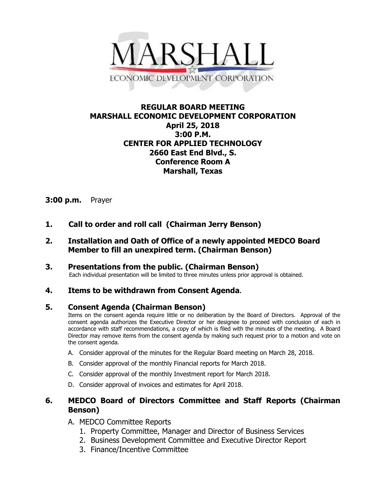

# **REGULAR BOARD MEETING MARSHALL ECONOMIC DEVELOPMENT CORPORATION April 25, 2018 3:00 P.M. CENTER FOR APPLIED TECHNOLOGY 2660 East End Blvd., S. Conference Room A Marshall, Texas**

### **3:00 p.m.** Prayer

- **1. Call to order and roll call (Chairman Jerry Benson)**
- **2. Installation and Oath of Office of a newly appointed MEDCO Board Member to fill an unexpired term. (Chairman Benson)**
- **3. Presentations from the public. (Chairman Benson)**<br>Each individual presentation will be limited to three minutes unless prior approval is obtained.

# **4. Items to be withdrawn from Consent Agenda.**

### **5. Consent Agenda (Chairman Benson)**

Items on the consent agenda require little or no deliberation by the Board of Directors. Approval of the consent agenda authorizes the Executive Director or her designee to proceed with conclusion of each in accordance with staff recommendations, a copy of which is filed with the minutes of the meeting. A Board Director may remove items from the consent agenda by making such request prior to a motion and vote on the consent agenda.

- A. Consider approval of the minutes for the Regular Board meeting on March 28, 2018.
- B. Consider approval of the monthly Financial reports for March 2018.
- C. Consider approval of the monthly Investment report for March 2018.
- D. Consider approval of invoices and estimates for April 2018.

# **6. MEDCO Board of Directors Committee and Staff Reports (Chairman Benson)**

- A. MEDCO Committee Reports
	- 1. Property Committee, Manager and Director of Business Services
	- 2. Business Development Committee and Executive Director Report
	- 3. Finance/Incentive Committee